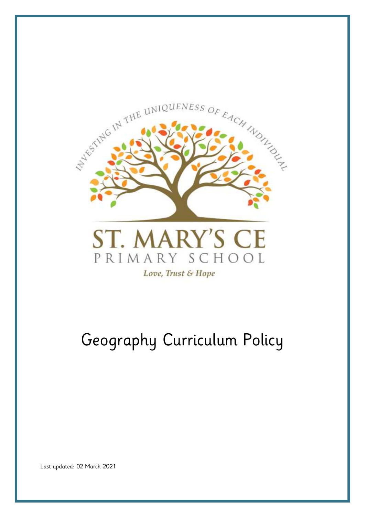

# Geography Curriculum Policy

Last updated: 02 March 2021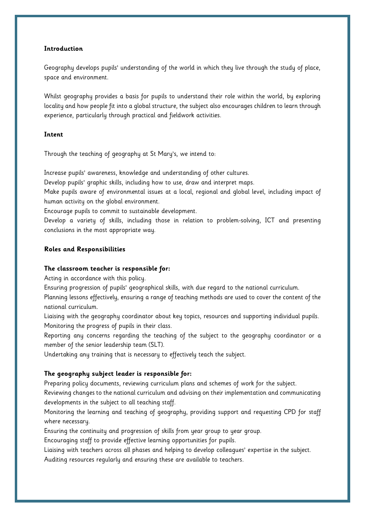## **Introduction**

Geography develops pupils' understanding of the world in which they live through the study of place, space and environment.

Whilst geography provides a basis for pupils to understand their role within the world, by exploring locality and how people fit into a global structure, the subject also encourages children to learn through experience, particularly through practical and fieldwork activities.

## **Intent**

Through the teaching of geography at St Mary's, we intend to:

Increase pupils' awareness, knowledge and understanding of other cultures.

Develop pupils' graphic skills, including how to use, draw and interpret maps.

Make pupils aware of environmental issues at a local, regional and global level, including impact of human activity on the global environment.

Encourage pupils to commit to sustainable development.

Develop a variety of skills, including those in relation to problem-solving, ICT and presenting conclusions in the most appropriate way.

# **Roles and Responsibilities**

#### **The classroom teacher is responsible for:**

Acting in accordance with this policy.

Ensuring progression of pupils' geographical skills, with due regard to the national curriculum.

Planning lessons effectively, ensuring a range of teaching methods are used to cover the content of the national curriculum.

Liaising with the geography coordinator about key topics, resources and supporting individual pupils. Monitoring the progress of pupils in their class.

Reporting any concerns regarding the teaching of the subject to the geography coordinator or a member of the senior leadership team (SLT).

Undertaking any training that is necessary to effectively teach the subject.

# **The geography subject leader is responsible for:**

Preparing policy documents, reviewing curriculum plans and schemes of work for the subject.

Reviewing changes to the national curriculum and advising on their implementation and communicating developments in the subject to all teaching staff.

Monitoring the learning and teaching of geography, providing support and requesting CPD for staff where necessary.

Ensuring the continuity and progression of skills from year group to year group.

Encouraging staff to provide effective learning opportunities for pupils.

Liaising with teachers across all phases and helping to develop colleagues' expertise in the subject. Auditing resources regularly and ensuring these are available to teachers.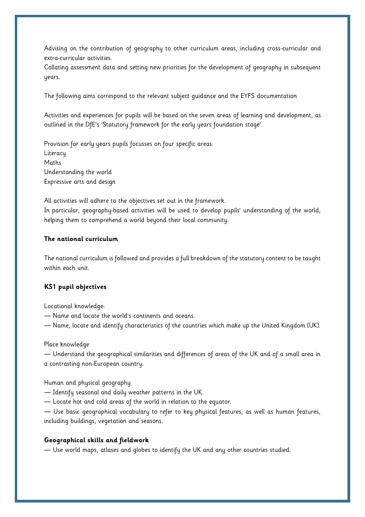Advising on the contribution of geography to other curriculum areas, including cross-curricular and extra-curricular activities.

Collating assessment data and setting new priorities for the development of geography in subsequent years.

The following aims correspond to the relevant subject guidance and the EYFS documentation

Activities and experiences for pupils will be based on the seven areas of learning and development, as outlined in the DfE's 'Statutory framework for the early years foundation stage'.

Provision for early years pupils focusses on four specific areas: Literacy Maths Understanding the world Expressive arts and design

All activities will adhere to the objectives set out in the framework. In particular, geography-based activities will be used to develop pupils' understanding of the world, helping them to comprehend a world beyond their local community.

# **The national curriculum**

The national curriculum is followed and provides a full breakdown of the statutory content to be taught within each unit.

# **KS1 pupil objectives**

Locational knowledge:

― Name and locate the world's continents and oceans.

― Name, locate and identify characteristics of the countries which make up the United Kingdom (UK).

#### Place knowledge

― Understand the geographical similarities and differences of areas of the UK and of a small area in a contrasting non-European country.

#### Human and physical geography

― Identify seasonal and daily weather patterns in the UK.

― Locate hot and cold areas of the world in relation to the equator.

― Use basic geographical vocabulary to refer to key physical features, as well as human features, including buildings, vegetation and seasons.

#### **Geographical skills and fieldwork**

― Use world maps, atlases and globes to identify the UK and any other countries studied.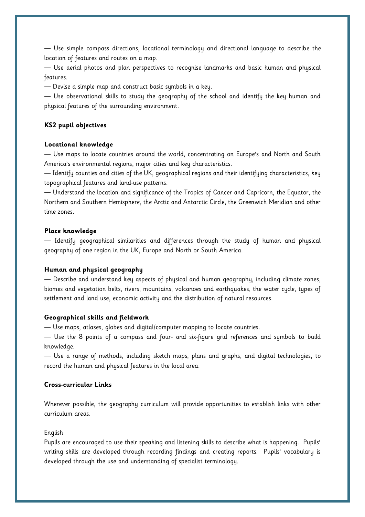― Use simple compass directions, locational terminology and directional language to describe the location of features and routes on a map.

― Use aerial photos and plan perspectives to recognise landmarks and basic human and physical features.

― Devise a simple map and construct basic symbols in a key.

― Use observational skills to study the geography of the school and identify the key human and physical features of the surrounding environment.

# **KS2 pupil objectives**

#### **Locational knowledge**

― Use maps to locate countries around the world, concentrating on Europe's and North and South America's environmental regions, major cities and key characteristics.

― Identify counties and cities of the UK, geographical regions and their identifying characteristics, key topographical features and land-use patterns.

― Understand the location and significance of the Tropics of Cancer and Capricorn, the Equator, the Northern and Southern Hemisphere, the Arctic and Antarctic Circle, the Greenwich Meridian and other time zones.

#### **Place knowledge**

― Identify geographical similarities and differences through the study of human and physical geography of one region in the UK, Europe and North or South America.

#### **Human and physical geography**

― Describe and understand key aspects of physical and human geography, including climate zones, biomes and vegetation belts, rivers, mountains, volcanoes and earthquakes, the water cycle, types of settlement and land use, economic activity and the distribution of natural resources.

#### **Geographical skills and fieldwork**

― Use maps, atlases, globes and digital/computer mapping to locate countries.

― Use the 8 points of a compass and four- and six-figure grid references and symbols to build knowledge.

― Use a range of methods, including sketch maps, plans and graphs, and digital technologies, to record the human and physical features in the local area.

#### **Cross-curricular Links**

Wherever possible, the geography curriculum will provide opportunities to establish links with other curriculum areas.

#### English

Pupils are encouraged to use their speaking and listening skills to describe what is happening. Pupils' writing skills are developed through recording findings and creating reports. Pupils' vocabulary is developed through the use and understanding of specialist terminology.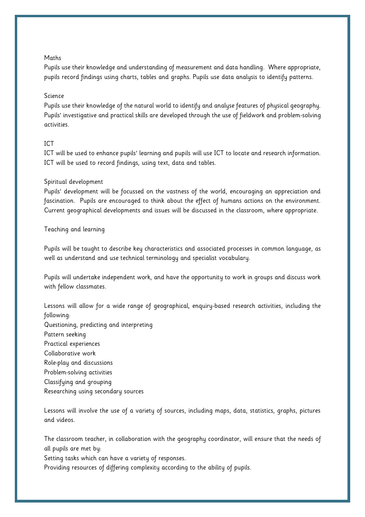#### Maths

Pupils use their knowledge and understanding of measurement and data handling. Where appropriate, pupils record findings using charts, tables and graphs. Pupils use data analysis to identify patterns.

#### Science

Pupils use their knowledge of the natural world to identify and analyse features of physical geography. Pupils' investigative and practical skills are developed through the use of fieldwork and problem-solving activities.

## ICT

ICT will be used to enhance pupils' learning and pupils will use ICT to locate and research information. ICT will be used to record findings, using text, data and tables.

#### Spiritual development

Pupils' development will be focussed on the vastness of the world, encouraging an appreciation and fascination. Pupils are encouraged to think about the effect of humans actions on the environment. Current geographical developments and issues will be discussed in the classroom, where appropriate.

#### Teaching and learning

Pupils will be taught to describe key characteristics and associated processes in common language, as well as understand and use technical terminology and specialist vocabulary.

Pupils will undertake independent work, and have the opportunity to work in groups and discuss work with fellow classmates.

Lessons will allow for a wide range of geographical, enquiry-based research activities, including the following:

Questioning, predicting and interpreting Pattern seeking Practical experiences Collaborative work Role-play and discussions Problem-solving activities Classifying and grouping Researching using secondary sources

Lessons will involve the use of a variety of sources, including maps, data, statistics, graphs, pictures and videos.

The classroom teacher, in collaboration with the geography coordinator, will ensure that the needs of all pupils are met by:

Setting tasks which can have a variety of responses.

Providing resources of differing complexity according to the ability of pupils.